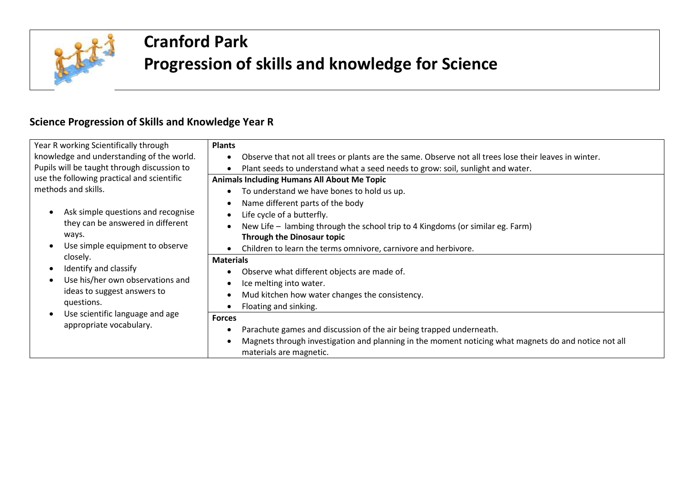

## **Cranford Park Progression of skills and knowledge for Science**

## **Science Progression of Skills and Knowledge Year R**

| Year R working Scientifically through<br>knowledge and understanding of the world.<br>Pupils will be taught through discussion to                                                        | <b>Plants</b><br>Observe that not all trees or plants are the same. Observe not all trees lose their leaves in winter.<br>$\bullet$<br>Plant seeds to understand what a seed needs to grow: soil, sunlight and water.<br>$\bullet$                                                                                                                                                                              |
|------------------------------------------------------------------------------------------------------------------------------------------------------------------------------------------|-----------------------------------------------------------------------------------------------------------------------------------------------------------------------------------------------------------------------------------------------------------------------------------------------------------------------------------------------------------------------------------------------------------------|
| use the following practical and scientific<br>methods and skills.<br>Ask simple questions and recognise<br>they can be answered in different<br>ways.<br>Use simple equipment to observe | <b>Animals Including Humans All About Me Topic</b><br>To understand we have bones to hold us up.<br>$\bullet$<br>Name different parts of the body<br>$\bullet$<br>Life cycle of a butterfly.<br>$\bullet$<br>New Life – lambing through the school trip to 4 Kingdoms (or similar eg. Farm)<br>$\bullet$<br><b>Through the Dinosaur topic</b><br>Children to learn the terms omnivore, carnivore and herbivore. |
| closely.<br>Identify and classify<br>$\bullet$<br>Use his/her own observations and<br>ideas to suggest answers to<br>questions.                                                          | <b>Materials</b><br>Observe what different objects are made of.<br>$\bullet$<br>Ice melting into water.<br>$\bullet$<br>Mud kitchen how water changes the consistency.<br>$\bullet$<br>Floating and sinking.                                                                                                                                                                                                    |
| Use scientific language and age<br>appropriate vocabulary.                                                                                                                               | <b>Forces</b><br>Parachute games and discussion of the air being trapped underneath.<br>٠<br>Magnets through investigation and planning in the moment noticing what magnets do and notice not all<br>$\bullet$<br>materials are magnetic.                                                                                                                                                                       |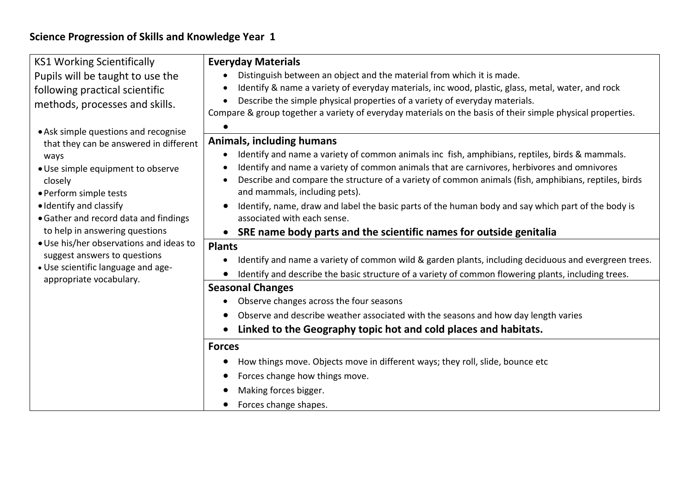## **Science Progression of Skills and Knowledge Year 1**

| <b>KS1 Working Scientifically</b>                                                                                                                                                                                                                                                                                                                                                                                                                                                                                          | <b>Everyday Materials</b>                                                                                                                                                                                                                                                                                                                                                  |
|----------------------------------------------------------------------------------------------------------------------------------------------------------------------------------------------------------------------------------------------------------------------------------------------------------------------------------------------------------------------------------------------------------------------------------------------------------------------------------------------------------------------------|----------------------------------------------------------------------------------------------------------------------------------------------------------------------------------------------------------------------------------------------------------------------------------------------------------------------------------------------------------------------------|
| Pupils will be taught to use the<br>following practical scientific<br>methods, processes and skills.<br>• Ask simple questions and recognise<br>that they can be answered in different<br>ways<br>• Use simple equipment to observe<br>closely<br>• Perform simple tests<br>· Identify and classify<br>• Gather and record data and findings<br>to help in answering questions<br>• Use his/her observations and ideas to<br>suggest answers to questions<br>• Use scientific language and age-<br>appropriate vocabulary. | Distinguish between an object and the material from which it is made.<br>Identify & name a variety of everyday materials, inc wood, plastic, glass, metal, water, and rock<br>Describe the simple physical properties of a variety of everyday materials.<br>Compare & group together a variety of everyday materials on the basis of their simple physical properties.    |
|                                                                                                                                                                                                                                                                                                                                                                                                                                                                                                                            | <b>Animals, including humans</b><br>Identify and name a variety of common animals inc fish, amphibians, reptiles, birds & mammals.<br>Identify and name a variety of common animals that are carnivores, herbivores and omnivores<br>Describe and compare the structure of a variety of common animals (fish, amphibians, reptiles, birds<br>and mammals, including pets). |
|                                                                                                                                                                                                                                                                                                                                                                                                                                                                                                                            | Identify, name, draw and label the basic parts of the human body and say which part of the body is<br>associated with each sense.<br>SRE name body parts and the scientific names for outside genitalia<br>$\bullet$                                                                                                                                                       |
|                                                                                                                                                                                                                                                                                                                                                                                                                                                                                                                            | <b>Plants</b><br>Identify and name a variety of common wild & garden plants, including deciduous and evergreen trees.<br>Identify and describe the basic structure of a variety of common flowering plants, including trees.                                                                                                                                               |
|                                                                                                                                                                                                                                                                                                                                                                                                                                                                                                                            | <b>Seasonal Changes</b>                                                                                                                                                                                                                                                                                                                                                    |
|                                                                                                                                                                                                                                                                                                                                                                                                                                                                                                                            | Observe changes across the four seasons<br>Observe and describe weather associated with the seasons and how day length varies<br>Linked to the Geography topic hot and cold places and habitats.                                                                                                                                                                           |
|                                                                                                                                                                                                                                                                                                                                                                                                                                                                                                                            | <b>Forces</b>                                                                                                                                                                                                                                                                                                                                                              |
|                                                                                                                                                                                                                                                                                                                                                                                                                                                                                                                            | How things move. Objects move in different ways; they roll, slide, bounce etc<br>$\bullet$<br>Forces change how things move.<br>Making forces bigger.<br>Forces change shapes.<br>$\bullet$                                                                                                                                                                                |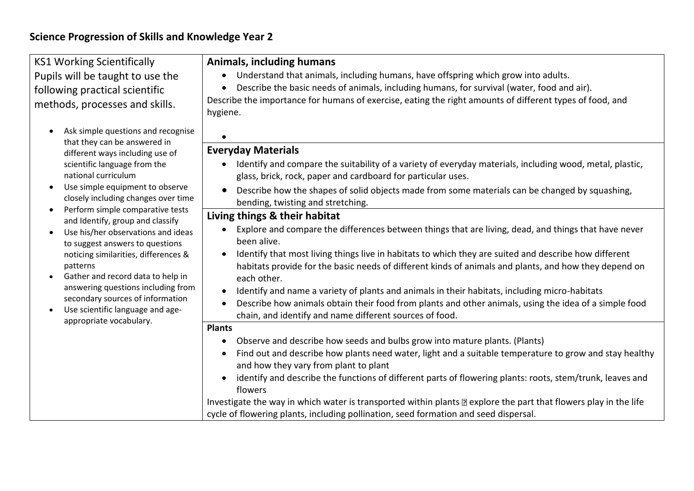| Describe the importance for humans of exercise, eating the right amounts of different types of food, and                                                                                                                                                                                                                                                                                                                                                                                                                                                                                                                                                                                                                                                                                                                                                                                                                                                                                                                                                                                                                                                                                                                                                                                                                                                                                                                                                                                                                                                                          |
|-----------------------------------------------------------------------------------------------------------------------------------------------------------------------------------------------------------------------------------------------------------------------------------------------------------------------------------------------------------------------------------------------------------------------------------------------------------------------------------------------------------------------------------------------------------------------------------------------------------------------------------------------------------------------------------------------------------------------------------------------------------------------------------------------------------------------------------------------------------------------------------------------------------------------------------------------------------------------------------------------------------------------------------------------------------------------------------------------------------------------------------------------------------------------------------------------------------------------------------------------------------------------------------------------------------------------------------------------------------------------------------------------------------------------------------------------------------------------------------------------------------------------------------------------------------------------------------|
| <b>Everyday Materials</b><br>Identify and compare the suitability of a variety of everyday materials, including wood, metal, plastic,<br>glass, brick, rock, paper and cardboard for particular uses.<br>Describe how the shapes of solid objects made from some materials can be changed by squashing,<br>bending, twisting and stretching.<br>Living things & their habitat<br>Explore and compare the differences between things that are living, dead, and things that have never<br>been alive.<br>Identify that most living things live in habitats to which they are suited and describe how different<br>habitats provide for the basic needs of different kinds of animals and plants, and how they depend on<br>each other.<br>Identify and name a variety of plants and animals in their habitats, including micro-habitats<br>Describe how animals obtain their food from plants and other animals, using the idea of a simple food<br>chain, and identify and name different sources of food.<br>Observe and describe how seeds and bulbs grow into mature plants. (Plants)<br>Find out and describe how plants need water, light and a suitable temperature to grow and stay healthy<br>and how they vary from plant to plant<br>identify and describe the functions of different parts of flowering plants: roots, stem/trunk, leaves and<br>flowers<br>Investigate the way in which water is transported within plants and explore the part that flowers play in the life<br>cycle of flowering plants, including pollination, seed formation and seed dispersal. |
|                                                                                                                                                                                                                                                                                                                                                                                                                                                                                                                                                                                                                                                                                                                                                                                                                                                                                                                                                                                                                                                                                                                                                                                                                                                                                                                                                                                                                                                                                                                                                                                   |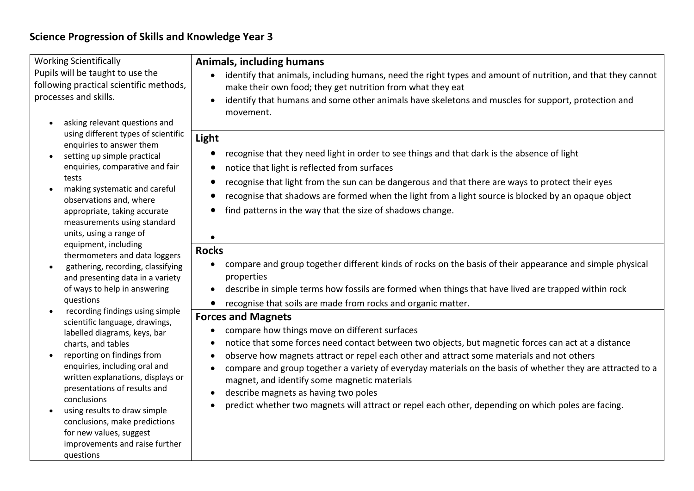## **Science Progression of Skills and Knowledge Year 3**

| <b>Working Scientifically</b><br>Pupils will be taught to use the<br>following practical scientific methods,<br>processes and skills.<br>asking relevant questions and<br>$\bullet$ | <b>Animals, including humans</b><br>identify that animals, including humans, need the right types and amount of nutrition, and that they cannot<br>make their own food; they get nutrition from what they eat<br>identify that humans and some other animals have skeletons and muscles for support, protection and<br>movement. |
|-------------------------------------------------------------------------------------------------------------------------------------------------------------------------------------|----------------------------------------------------------------------------------------------------------------------------------------------------------------------------------------------------------------------------------------------------------------------------------------------------------------------------------|
| using different types of scientific<br>enquiries to answer them                                                                                                                     | Light                                                                                                                                                                                                                                                                                                                            |
| setting up simple practical<br>$\bullet$                                                                                                                                            | recognise that they need light in order to see things and that dark is the absence of light                                                                                                                                                                                                                                      |
| enquiries, comparative and fair                                                                                                                                                     | notice that light is reflected from surfaces                                                                                                                                                                                                                                                                                     |
| tests                                                                                                                                                                               | recognise that light from the sun can be dangerous and that there are ways to protect their eyes                                                                                                                                                                                                                                 |
| making systematic and careful<br>$\bullet$<br>observations and, where                                                                                                               | recognise that shadows are formed when the light from a light source is blocked by an opaque object<br>$\bullet$                                                                                                                                                                                                                 |
| appropriate, taking accurate<br>measurements using standard                                                                                                                         | find patterns in the way that the size of shadows change.                                                                                                                                                                                                                                                                        |
| units, using a range of                                                                                                                                                             |                                                                                                                                                                                                                                                                                                                                  |
| equipment, including<br>thermometers and data loggers                                                                                                                               | <b>Rocks</b>                                                                                                                                                                                                                                                                                                                     |
| gathering, recording, classifying<br>$\bullet$<br>and presenting data in a variety                                                                                                  | compare and group together different kinds of rocks on the basis of their appearance and simple physical<br>$\bullet$<br>properties                                                                                                                                                                                              |
| of ways to help in answering                                                                                                                                                        | describe in simple terms how fossils are formed when things that have lived are trapped within rock<br>$\bullet$                                                                                                                                                                                                                 |
| questions                                                                                                                                                                           | recognise that soils are made from rocks and organic matter.                                                                                                                                                                                                                                                                     |
| recording findings using simple<br>scientific language, drawings,                                                                                                                   | <b>Forces and Magnets</b>                                                                                                                                                                                                                                                                                                        |
| labelled diagrams, keys, bar                                                                                                                                                        | compare how things move on different surfaces                                                                                                                                                                                                                                                                                    |
| charts, and tables                                                                                                                                                                  | notice that some forces need contact between two objects, but magnetic forces can act at a distance<br>$\bullet$                                                                                                                                                                                                                 |
| reporting on findings from<br>$\bullet$<br>enquiries, including oral and                                                                                                            | observe how magnets attract or repel each other and attract some materials and not others<br>$\bullet$                                                                                                                                                                                                                           |
| written explanations, displays or                                                                                                                                                   | compare and group together a variety of everyday materials on the basis of whether they are attracted to a<br>magnet, and identify some magnetic materials                                                                                                                                                                       |
| presentations of results and                                                                                                                                                        | describe magnets as having two poles                                                                                                                                                                                                                                                                                             |
| conclusions<br>using results to draw simple                                                                                                                                         | predict whether two magnets will attract or repel each other, depending on which poles are facing.                                                                                                                                                                                                                               |
| conclusions, make predictions                                                                                                                                                       |                                                                                                                                                                                                                                                                                                                                  |
| for new values, suggest                                                                                                                                                             |                                                                                                                                                                                                                                                                                                                                  |
| improvements and raise further<br>questions                                                                                                                                         |                                                                                                                                                                                                                                                                                                                                  |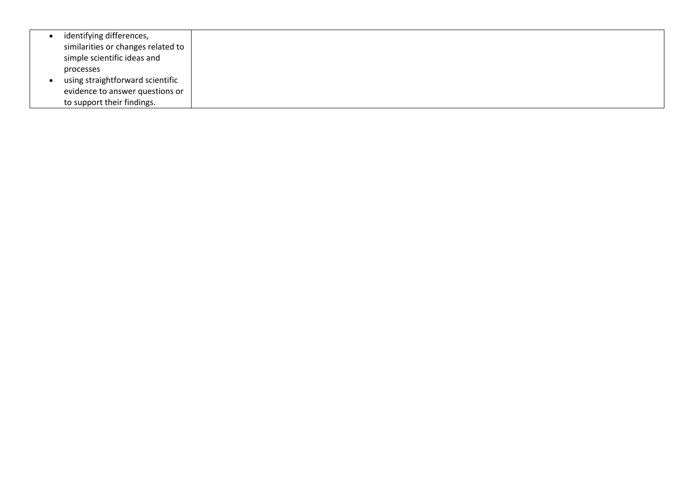| identifying differences,           |
|------------------------------------|
| similarities or changes related to |
| simple scientific ideas and        |
| processes                          |
| using straightforward scientific   |
| evidence to answer questions or    |
| to support their findings.         |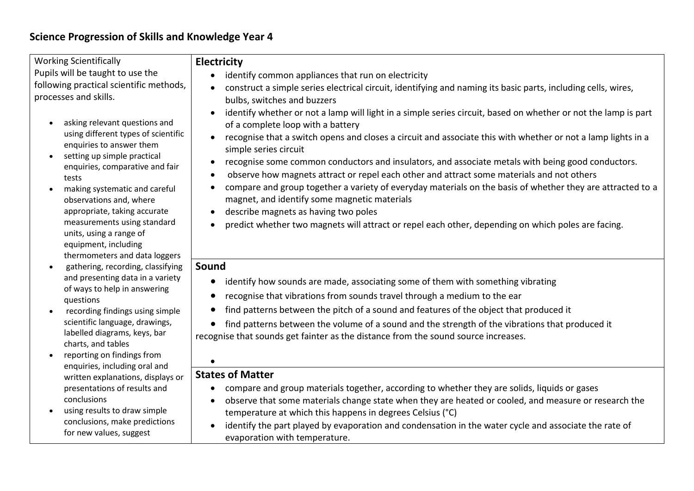| <b>Working Scientifically</b><br>Pupils will be taught to use the<br>following practical scientific methods,<br>processes and skills.                                                                                                                                                                                                                                                                                                                                                                                                                                                                                                                                                                                                                                                                                                                                                      | <b>Electricity</b><br>identify common appliances that run on electricity<br>construct a simple series electrical circuit, identifying and naming its basic parts, including cells, wires,<br>bulbs, switches and buzzers                                                                                                                                                                                                                                                                                                                                                                                                                                                                                                                                                                                                |
|--------------------------------------------------------------------------------------------------------------------------------------------------------------------------------------------------------------------------------------------------------------------------------------------------------------------------------------------------------------------------------------------------------------------------------------------------------------------------------------------------------------------------------------------------------------------------------------------------------------------------------------------------------------------------------------------------------------------------------------------------------------------------------------------------------------------------------------------------------------------------------------------|-------------------------------------------------------------------------------------------------------------------------------------------------------------------------------------------------------------------------------------------------------------------------------------------------------------------------------------------------------------------------------------------------------------------------------------------------------------------------------------------------------------------------------------------------------------------------------------------------------------------------------------------------------------------------------------------------------------------------------------------------------------------------------------------------------------------------|
| asking relevant questions and<br>using different types of scientific<br>enquiries to answer them<br>setting up simple practical<br>enquiries, comparative and fair<br>tests<br>making systematic and careful<br>observations and, where<br>appropriate, taking accurate<br>measurements using standard<br>units, using a range of<br>equipment, including<br>thermometers and data loggers<br>gathering, recording, classifying<br>and presenting data in a variety<br>of ways to help in answering<br>questions<br>recording findings using simple<br>scientific language, drawings,<br>labelled diagrams, keys, bar<br>charts, and tables<br>reporting on findings from<br>enquiries, including oral and<br>written explanations, displays or<br>presentations of results and<br>conclusions<br>using results to draw simple<br>conclusions, make predictions<br>for new values, suggest | identify whether or not a lamp will light in a simple series circuit, based on whether or not the lamp is part<br>of a complete loop with a battery<br>recognise that a switch opens and closes a circuit and associate this with whether or not a lamp lights in a<br>simple series circuit<br>recognise some common conductors and insulators, and associate metals with being good conductors.<br>observe how magnets attract or repel each other and attract some materials and not others<br>$\bullet$<br>compare and group together a variety of everyday materials on the basis of whether they are attracted to a<br>magnet, and identify some magnetic materials<br>describe magnets as having two poles<br>predict whether two magnets will attract or repel each other, depending on which poles are facing. |
|                                                                                                                                                                                                                                                                                                                                                                                                                                                                                                                                                                                                                                                                                                                                                                                                                                                                                            | Sound<br>identify how sounds are made, associating some of them with something vibrating<br>recognise that vibrations from sounds travel through a medium to the ear<br>find patterns between the pitch of a sound and features of the object that produced it<br>find patterns between the volume of a sound and the strength of the vibrations that produced it<br>recognise that sounds get fainter as the distance from the sound source increases.                                                                                                                                                                                                                                                                                                                                                                 |
|                                                                                                                                                                                                                                                                                                                                                                                                                                                                                                                                                                                                                                                                                                                                                                                                                                                                                            | <b>States of Matter</b><br>compare and group materials together, according to whether they are solids, liquids or gases<br>observe that some materials change state when they are heated or cooled, and measure or research the<br>temperature at which this happens in degrees Celsius (°C)<br>identify the part played by evaporation and condensation in the water cycle and associate the rate of<br>evaporation with temperature.                                                                                                                                                                                                                                                                                                                                                                                  |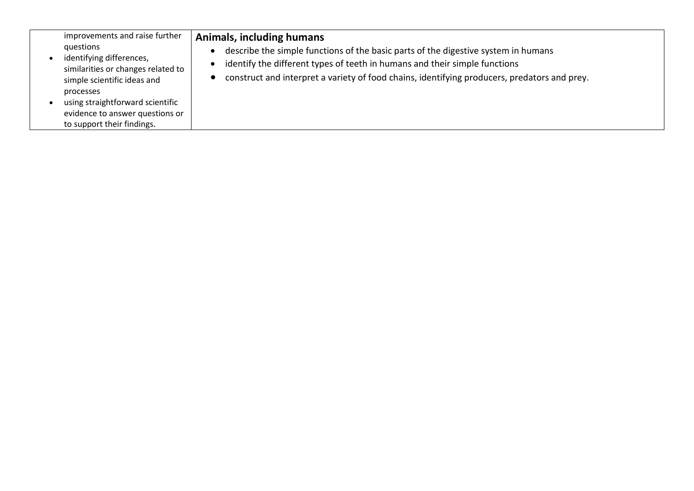| improvements and raise further<br>questions<br>identifying differences,<br>similarities or changes related to<br>simple scientific ideas and<br>processes<br>using straightforward scientific<br>evidence to answer questions or<br>to support their findings. | Animals, including humans<br>describe the simple functions of the basic parts of the digestive system in humans<br>identify the different types of teeth in humans and their simple functions<br>construct and interpret a variety of food chains, identifying producers, predators and prey. |
|----------------------------------------------------------------------------------------------------------------------------------------------------------------------------------------------------------------------------------------------------------------|-----------------------------------------------------------------------------------------------------------------------------------------------------------------------------------------------------------------------------------------------------------------------------------------------|
|----------------------------------------------------------------------------------------------------------------------------------------------------------------------------------------------------------------------------------------------------------------|-----------------------------------------------------------------------------------------------------------------------------------------------------------------------------------------------------------------------------------------------------------------------------------------------|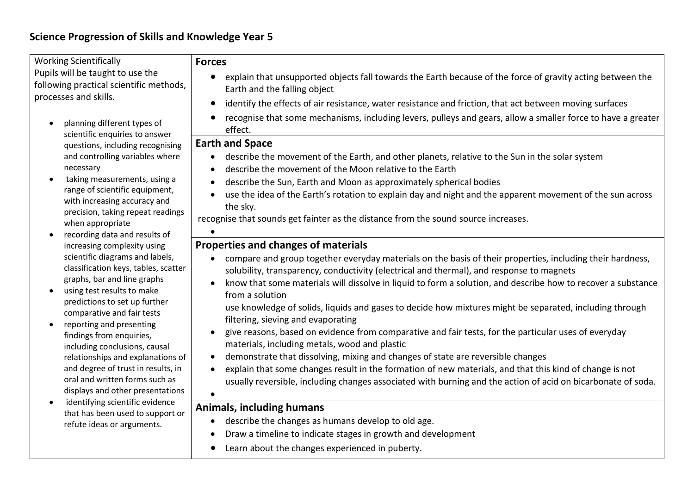| <b>Working Scientifically</b><br>Pupils will be taught to use the<br>following practical scientific methods,<br>processes and skills.                                                                                                                                                                                                                                                                                                                                        | <b>Forces</b><br>explain that unsupported objects fall towards the Earth because of the force of gravity acting between the<br>Earth and the falling object<br>identify the effects of air resistance, water resistance and friction, that act between moving surfaces<br>$\bullet$                                                                                                                                                                                                                                                                                                                                                                                                                                                                                                                                                                                                                                                                                                                     |
|------------------------------------------------------------------------------------------------------------------------------------------------------------------------------------------------------------------------------------------------------------------------------------------------------------------------------------------------------------------------------------------------------------------------------------------------------------------------------|---------------------------------------------------------------------------------------------------------------------------------------------------------------------------------------------------------------------------------------------------------------------------------------------------------------------------------------------------------------------------------------------------------------------------------------------------------------------------------------------------------------------------------------------------------------------------------------------------------------------------------------------------------------------------------------------------------------------------------------------------------------------------------------------------------------------------------------------------------------------------------------------------------------------------------------------------------------------------------------------------------|
| planning different types of<br>scientific enquiries to answer                                                                                                                                                                                                                                                                                                                                                                                                                | recognise that some mechanisms, including levers, pulleys and gears, allow a smaller force to have a greater<br>effect.                                                                                                                                                                                                                                                                                                                                                                                                                                                                                                                                                                                                                                                                                                                                                                                                                                                                                 |
| questions, including recognising<br>and controlling variables where<br>necessary<br>taking measurements, using a<br>range of scientific equipment,<br>with increasing accuracy and<br>precision, taking repeat readings<br>when appropriate<br>recording data and results of                                                                                                                                                                                                 | <b>Earth and Space</b><br>describe the movement of the Earth, and other planets, relative to the Sun in the solar system<br>$\bullet$<br>describe the movement of the Moon relative to the Earth<br>describe the Sun, Earth and Moon as approximately spherical bodies<br>use the idea of the Earth's rotation to explain day and night and the apparent movement of the sun across<br>the sky.<br>recognise that sounds get fainter as the distance from the sound source increases.                                                                                                                                                                                                                                                                                                                                                                                                                                                                                                                   |
| increasing complexity using<br>scientific diagrams and labels,<br>classification keys, tables, scatter<br>graphs, bar and line graphs<br>using test results to make<br>predictions to set up further<br>comparative and fair tests<br>reporting and presenting<br>findings from enquiries,<br>including conclusions, causal<br>relationships and explanations of<br>and degree of trust in results, in<br>oral and written forms such as<br>displays and other presentations | Properties and changes of materials<br>compare and group together everyday materials on the basis of their properties, including their hardness,<br>solubility, transparency, conductivity (electrical and thermal), and response to magnets<br>know that some materials will dissolve in liquid to form a solution, and describe how to recover a substance<br>from a solution<br>use knowledge of solids, liquids and gases to decide how mixtures might be separated, including through<br>filtering, sieving and evaporating<br>give reasons, based on evidence from comparative and fair tests, for the particular uses of everyday<br>materials, including metals, wood and plastic<br>demonstrate that dissolving, mixing and changes of state are reversible changes<br>explain that some changes result in the formation of new materials, and that this kind of change is not<br>usually reversible, including changes associated with burning and the action of acid on bicarbonate of soda. |
| identifying scientific evidence<br>that has been used to support or<br>refute ideas or arguments.                                                                                                                                                                                                                                                                                                                                                                            | <b>Animals, including humans</b><br>describe the changes as humans develop to old age.<br>Draw a timeline to indicate stages in growth and development<br>Learn about the changes experienced in puberty.                                                                                                                                                                                                                                                                                                                                                                                                                                                                                                                                                                                                                                                                                                                                                                                               |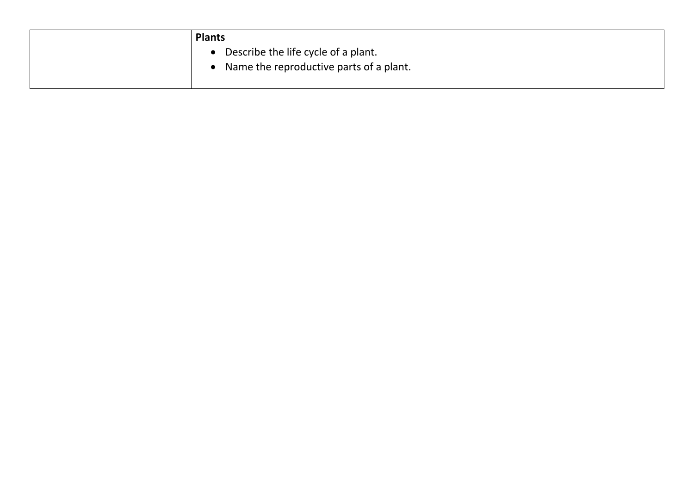| <b>Plants</b>                                                                  |
|--------------------------------------------------------------------------------|
| Describe the life cycle of a plant.<br>Name the reproductive parts of a plant. |
|                                                                                |